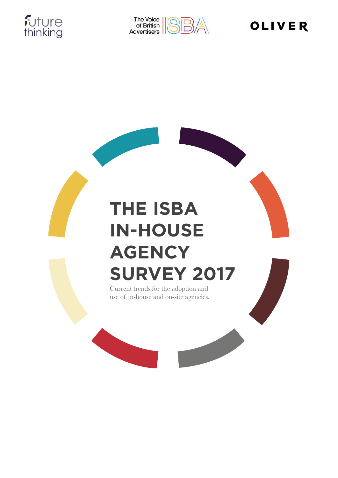



# **OLIVER**

# **THE ISBA IN-HOUSE AGENCY SURVEY 2017**

Current trends for the adoption and use of in-house and on-site agencies.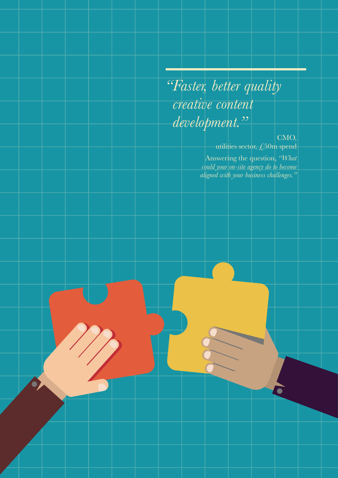# *"Faster, better quality creative content development."*

**2**

### CMO,

utilities sector,  $\zeta$ 50m spend

Answering the question, *"What could your on-site agency do to become aligned with your business challenges."*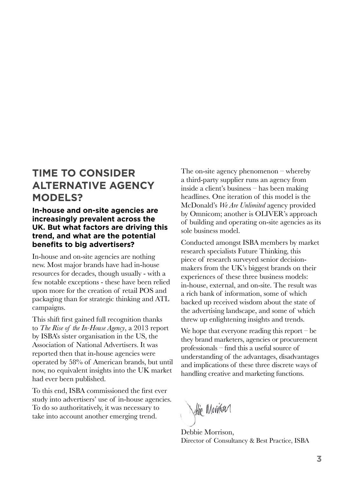### **TIME TO CONSIDER ALTERNATIVE AGENCY MODELS?**

### **In-house and on-site agencies are increasingly prevalent across the UK. But what factors are driving this trend, and what are the potential benefits to big advertisers?**

In-house and on-site agencies are nothing new. Most major brands have had in-house resources for decades, though usually - with a few notable exceptions - these have been relied upon more for the creation of retail POS and packaging than for strategic thinking and ATL campaigns.

This shift first gained full recognition thanks to *The Rise of the In-House Agency*, a 2013 report by ISBA's sister organisation in the US, the Association of National Advertisers. It was reported then that in-house agencies were operated by 58% of American brands, but until now, no equivalent insights into the UK market had ever been published.

To this end, ISBA commissioned the first ever study into advertisers' use of in-house agencies. To do so authoritatively, it was necessary to take into account another emerging trend.

The on-site agency phenomenon – whereby a third-party supplier runs an agency from inside a client's business – has been making headlines. One iteration of this model is the McDonald's *We Are Unlimited* agency provided by Omnicom; another is OLIVER's approach of building and operating on-site agencies as its sole business model.

Conducted amongst ISBA members by market research specialists Future Thinking, this piece of research surveyed senior decisionmakers from the UK's biggest brands on their experiences of these three business models: in-house, external, and on-site. The result was a rich bank of information, some of which backed up received wisdom about the state of the advertising landscape, and some of which threw up enlightening insights and trends.

We hope that everyone reading this report  $-$  be they brand marketers, agencies or procurement professionals – find this a useful source of understanding of the advantages, disadvantages and implications of these three discrete ways of handling creative and marketing functions.

Whic Monitor

Debbie Morrison, Director of Consultancy & Best Practice, ISBA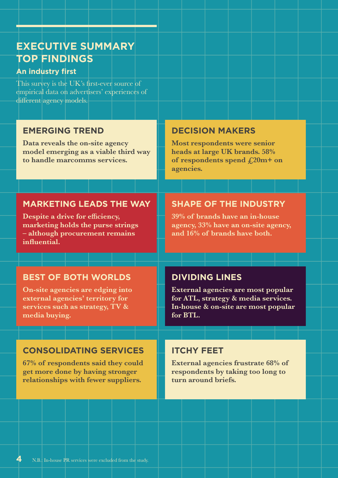### **EXECUTIVE SUMMARY TOP FINDINGS**

### **An industry first**

This survey is the UK's first-ever source of empirical data on advertisers' experiences of different agency models.

### **EMERGING TREND**

**Data reveals the on-site agency model emerging as a viable third way to handle marcomms services.**

### **DECISION MAKERS**

**Most respondents were senior heads at large UK brands. 58% of respondents spend £20m+ on agencies.**

### **MARKETING LEADS THE WAY**

**Despite a drive for efficiency, marketing holds the purse strings – although procurement remains influential.**

### **SHAPE OF THE INDUSTRY**

**39% of brands have an in-house agency, 33% have an on-site agency, and 16% of brands have both.**

### **BEST OF BOTH WORLDS**

**On-site agencies are edging into external agencies' territory for services such as strategy, TV & media buying.**

### **CONSOLIDATING SERVICES**

**67% of respondents said they could get more done by having stronger relationships with fewer suppliers.**

### **DIVIDING LINES**

**External agencies are most popular for ATL, strategy & media services. In-house & on-site are most popular for BTL.**

### **ITCHY FEET**

**External agencies frustrate 68% of respondents by taking too long to turn around briefs.**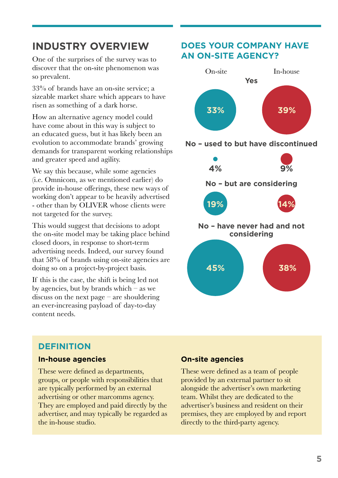### **INDUSTRY OVERVIEW**

One of the surprises of the survey was to discover that the on-site phenomenon was so prevalent.

33% of brands have an on-site service; a sizeable market share which appears to have risen as something of a dark horse.

How an alternative agency model could have come about in this way is subject to an educated guess, but it has likely been an evolution to accommodate brands' growing demands for transparent working relationships and greater speed and agility.

We say this because, while some agencies (i.e. Omnicom, as we mentioned earlier) do provide in-house offerings, these new ways of working don't appear to be heavily advertised - other than by OLIVER whose clients were not targeted for the survey.

This would suggest that decisions to adopt the on-site model may be taking place behind closed doors, in response to short-term advertising needs. Indeed, our survey found that 58% of brands using on-site agencies are doing so on a project-by-project basis.

If this is the case, the shift is being led not by agencies, but by brands which  $-$  as we discuss on the next page – are shouldering an ever-increasing payload of day-to-day content needs.

### **DOES YOUR COMPANY HAVE AN ON-SITE AGENCY?**



**No – used to but have discontinued**



### **DEFINITION**

### **In-house agencies**

These were defined as departments, groups, or people with responsibilities that are typically performed by an external advertising or other marcomms agency. They are employed and paid directly by the advertiser, and may typically be regarded as the in-house studio.

### **On-site agencies**

These were defined as a team of people provided by an external partner to sit alongside the advertiser's own marketing team. Whilst they are dedicated to the advertiser's business and resident on their premises, they are employed by and report directly to the third-party agency.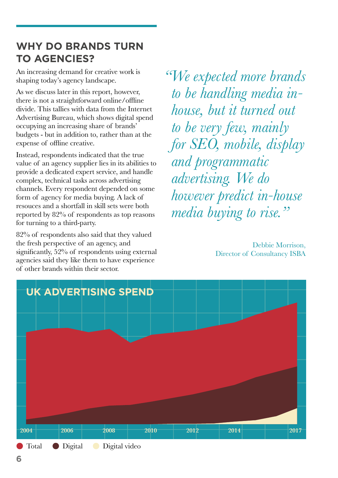### **WHY DO BRANDS TURN TO AGENCIES?**

An increasing demand for creative work is shaping today's agency landscape.

As we discuss later in this report, however, there is not a straightforward online/offline divide. This tallies with data from the Internet Advertising Bureau, which shows digital spend occupying an increasing share of brands' budgets - but in addition to, rather than at the expense of offline creative.

Instead, respondents indicated that the true value of an agency supplier lies in its abilities to provide a dedicated expert service, and handle complex, technical tasks across advertising channels. Every respondent depended on some form of agency for media buying. A lack of resouces and a shortfall in skill sets were both reported by 82% of respondents as top reasons for turning to a third-party.

82% of respondents also said that they valued the fresh perspective of an agency, and significantly, 52% of respondents using external agencies said they like them to have experience of other brands within their sector.

*"We expected more brands to be handling media inhouse, but it turned out to be very few, mainly for SEO, mobile, display and programmatic advertising. We do however predict in-house media buying to rise."*

> Debbie Morrison, Director of Consultancy ISBA

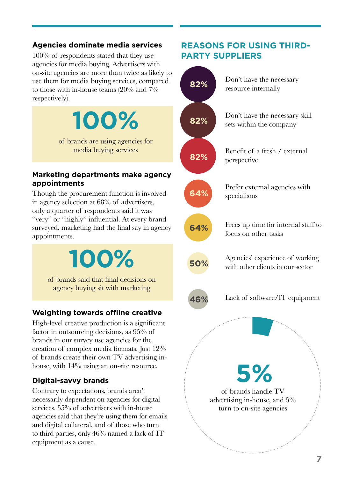### **Agencies dominate media services**

100% of respondents stated that they use agencies for media buying. Advertisers with on-site agencies are more than twice as likely to use them for media buying services, compared to those with in-house teams (20% and 7% respectively).

> of brands are using agencies for media buying services

**100%**

### **Marketing departments make agency appointments**

Though the procurement function is involved in agency selection at 68% of advertisers, only a quarter of respondents said it was "very" or "highly" influential. At every brand surveyed, marketing had the final say in agency appointments.

**100%**

of brands said that final decisions on agency buying sit with marketing

### **Weighting towards offline creative**

High-level creative production is a significant factor in outsourcing decisions, as 95% of brands in our survey use agencies for the creation of complex media formats. Just 12% of brands create their own TV advertising inhouse, with  $14\%$  using an on-site resource.

### **Digital-savvy brands**

Contrary to expectations, brands aren't necessarily dependent on agencies for digital services. 55% of advertisers with in-house agencies said that they're using them for emails and digital collateral, and of those who turn to third parties, only 46% named a lack of IT equipment as a cause.



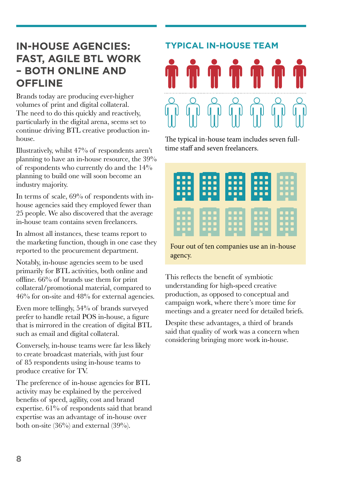### **IN-HOUSE AGENCIES: FAST, AGILE BTL WORK – BOTH ONLINE AND OFFLINE**

Brands today are producing ever-higher volumes of print and digital collateral. The need to do this quickly and reactively, particularly in the digital arena, seems set to continue driving BTL creative production inhouse.

Illustratively, whilst 47% of respondents aren't planning to have an in-house resource, the 39% of respondents who currently do and the 14% planning to build one will soon become an industry majority.

In terms of scale, 69% of respondents with inhouse agencies said they employed fewer than 25 people. We also discovered that the average in-house team contains seven freelancers.

In almost all instances, these teams report to the marketing function, though in one case they reported to the procurement department.

Notably, in-house agencies seem to be used primarily for BTL activities, both online and offline. 66% of brands use them for print collateral/promotional material, compared to 46% for on-site and 48% for external agencies.

Even more tellingly, 54% of brands surveyed prefer to handle retail POS in-house, a figure that is mirrored in the creation of digital BTL such as email and digital collateral.

Conversely, in-house teams were far less likely to create broadcast materials, with just four of 85 respondents using in-house teams to produce creative for TV.

The preference of in-house agencies for BTL activity may be explained by the perceived benefits of speed, agility, cost and brand expertise. 61% of respondents said that brand expertise was an advantage of in-house over both on-site (36%) and external (39%).

# **TYPICAL IN-HOUSE TEAM**

The typical in-house team includes seven fulltime staff and seven freelancers.

| П<br><b>TIP</b><br>- 11<br>L.<br>П<br>n<br>ΓТ<br>■<br>■ | П<br>n<br>-11<br>u.<br>П<br>C)<br>ш<br>ш<br>ш | П<br>П<br>п<br>- 1<br>u.<br>П<br>ш<br>п<br>■<br>П | ш<br>П<br>п<br>O<br>ш<br>П<br>ш<br>п<br>П<br>ш<br>. . | A T<br>ш |
|---------------------------------------------------------|-----------------------------------------------|---------------------------------------------------|-------------------------------------------------------|----------|
| п                                                       | $\bullet$<br>a ba                             | <b>Service Service</b><br>۳                       | <b>Service Service</b>                                | ш        |

Four out of ten companies use an in-house agency.

This reflects the benefit of symbiotic understanding for high-speed creative production, as opposed to conceptual and campaign work, where there's more time for meetings and a greater need for detailed briefs.

Despite these advantages, a third of brands said that quality of work was a concern when considering bringing more work in-house.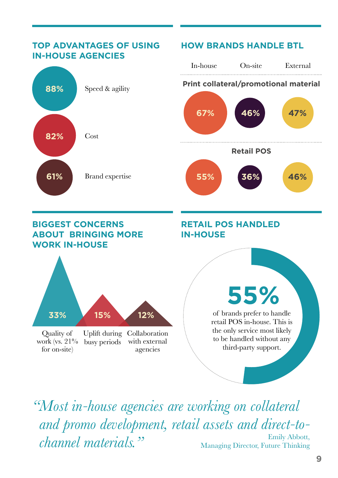

*"Most in-house agencies are working on collateral and promo development, retail assets and direct-tochannel materials."* Emily Abbott, Managing Director, Future Thinking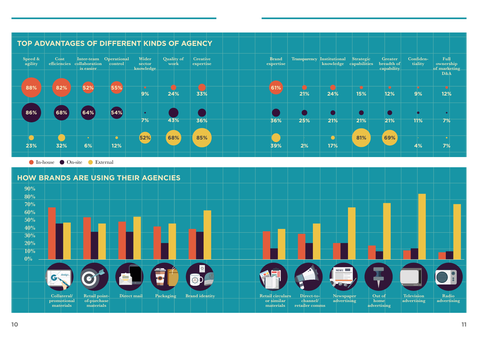



| rategic<br>abilities | <b>Greater</b><br>breadth of<br>capability | Confiden-<br>tiality | Full<br>ownership<br>of marketing<br>D&A |
|----------------------|--------------------------------------------|----------------------|------------------------------------------|
| 15%                  | 12%                                        | 9%                   | 12%                                      |
|                      |                                            |                      | $\bullet$                                |
| 21%                  | 21%                                        | 11%                  | 7%                                       |
| 81%                  | 69%                                        | 4%                   | $\bullet$<br>7%                          |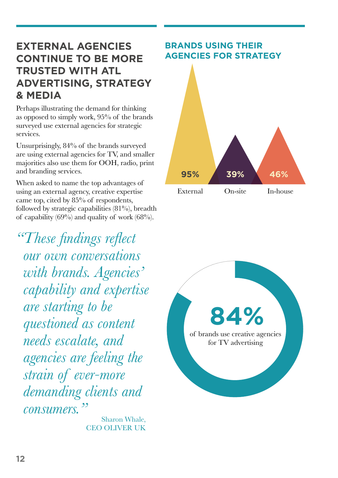### **EXTERNAL AGENCIES CONTINUE TO BE MORE TRUSTED WITH ATL ADVERTISING, STRATEGY & MEDIA**

Perhaps illustrating the demand for thinking as opposed to simply work, 95% of the brands surveyed use external agencies for strategic services.

Unsurprisingly, 84% of the brands surveyed are using external agencies for TV, and smaller majorities also use them for OOH, radio, print and branding services.

When asked to name the top advantages of using an external agency, creative expertise came top, cited by 85% of respondents, followed by strategic capabilities  $(81\%)$ , breadth of capability  $(69%)$  and quality of work  $(68%)$ .

*"These findings reflect our own conversations with brands. Agencies' capability and expertise are starting to be questioned as content needs escalate, and agencies are feeling the strain of ever-more demanding clients and consumers."*

Sharon Whale, CEO OLIVER UK

### **BRANDS USING THEIR AGENCIES FOR STRATEGY**



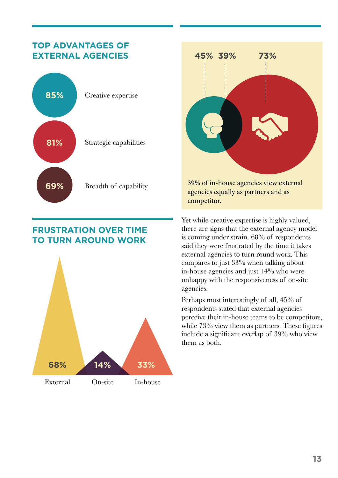### **TOP ADVANTAGES OF EXTERNAL AGENCIES**



### **FRUSTRATION OVER TIME TO TURN AROUND WORK**





agencies equally as partners and as competitor.

Yet while creative expertise is highly valued, there are signs that the external agency model is coming under strain. 68% of respondents said they were frustrated by the time it takes external agencies to turn round work. This compares to just 33% when talking about in-house agencies and just 14% who were unhappy with the responsiveness of on-site agencies.

Perhaps most interestingly of all, 45% of respondents stated that external agencies perceive their in-house teams to be competitors, while 73% view them as partners. These figures include a significant overlap of 39% who view them as both.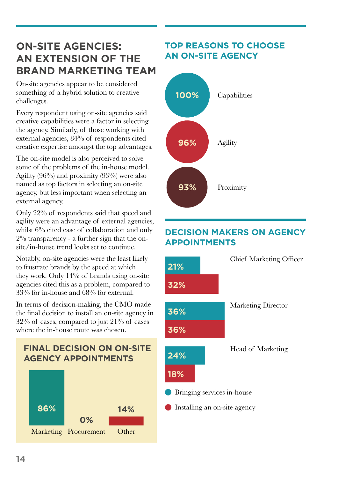### **ON-SITE AGENCIES: AN EXTENSION OF THE BRAND MARKETING TEAM**

On-site agencies appear to be considered something of a hybrid solution to creative challenges.

Every respondent using on-site agencies said creative capabilities were a factor in selecting the agency. Similarly, of those working with external agencies, 84% of respondents cited creative expertise amongst the top advantages.

The on-site model is also perceived to solve some of the problems of the in-house model. Agility (96%) and proximity (93%) were also named as top factors in selecting an on-site agency, but less important when selecting an external agency.

Only 22% of respondents said that speed and agility were an advantage of external agencies, whilst  $6\%$  cited ease of collaboration and only 2% transparency - a further sign that the onsite/in-house trend looks set to continue.

Notably, on-site agencies were the least likely to frustrate brands by the speed at which they work. Only 14% of brands using on-site agencies cited this as a problem, compared to 33% for in-house and 68% for external.

In terms of decision-making, the CMO made the final decision to install an on-site agency in  $32\%$  of cases, compared to just  $21\%$  of cases where the in-house route was chosen.

# **FINAL DECISION ON ON-SITE AGENCY APPOINTMENTS** Marketing Procurement Other **86% 14% 0%**

### **TOP REASONS TO CHOOSE AN ON-SITE AGENCY**



### **DECISION MAKERS ON AGENCY APPOINTMENTS**

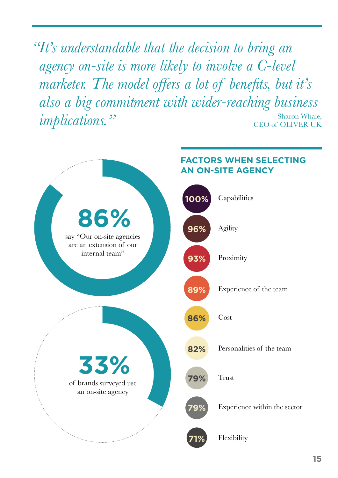*"It's understandable that the decision to bring an agency on-site is more likely to involve a C-level marketer. The model offers a lot of benefits, but it's also a big commitment with wider-reaching business implications.*" Sharon Whale, CEO of OLIVER UK

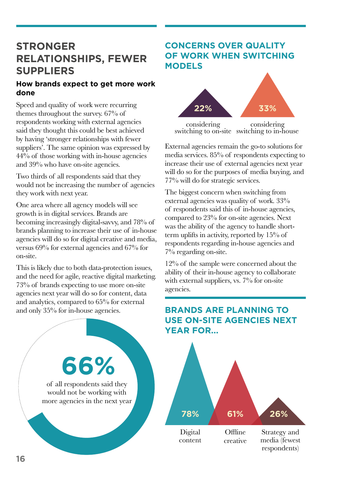### **STRONGER RELATIONSHIPS, FEWER SUPPLIERS**

### **How brands expect to get more work done**

Speed and quality of work were recurring themes throughout the survey. 67% of respondents working with external agencies said they thought this could be best achieved by having 'stronger relationships with fewer suppliers'. The same opinion was expressed by 44% of those working with in-house agencies and 39% who have on-site agencies.

Two thirds of all respondents said that they would not be increasing the number of agencies they work with next year.

One area where all agency models will see growth is in digital services. Brands are becoming increasingly digital-savvy, and 78% of brands planning to increase their use of in-house agencies will do so for digital creative and media, versus 69% for external agencies and 67% for on-site.

This is likely due to both data-protection issues, and the need for agile, reactive digital marketing. 73% of brands expecting to use more on-site agencies next year will do so for content, data and analytics, compared to 65% for external and only 35% for in-house agencies.



### **CONCERNS OVER QUALITY OF WORK WHEN SWITCHING MODELS**



switching to on-site switching to in-house

External agencies remain the go-to solutions for media services. 85% of respondents expecting to increase their use of external agencies next year will do so for the purposes of media buying, and 77% will do for strategic services.

The biggest concern when switching from external agencies was quality of work. 33% of respondents said this of in-house agencies, compared to 23% for on-site agencies. Next was the ability of the agency to handle shortterm uplifts in activity, reported by 15% of respondents regarding in-house agencies and 7% regarding on-site.

12% of the sample were concerned about the ability of their in-house agency to collaborate with external suppliers, vs. 7% for on-site agencies.

### **BRANDS ARE PLANNING TO USE ON-SITE AGENCIES NEXT YEAR FOR...**

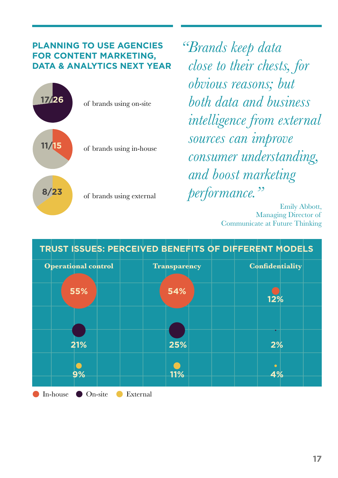### **PLANNING TO USE AGENCIES FOR CONTENT MARKETING, DATA & ANALYTICS NEXT YEAR**



*"Brands keep data close to their chests, for obvious reasons; but both data and business intelligence from external sources can improve consumer understanding, and boost marketing performance."*

Emily Abbott, Managing Director of Communicate at Future Thinking

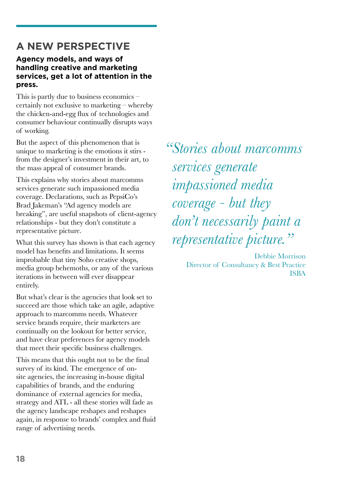## **A NEW PERSPECTIVE**

### **Agency models, and ways of handling creative and marketing services, get a lot of attention in the press.**

This is partly due to business economics – certainly not exclusive to marketing – whereby the chicken-and-egg flux of technologies and consumer behaviour continually disrupts ways of working.

But the aspect of this phenomenon that is unique to marketing is the emotions it stirs from the designer's investment in their art, to the mass appeal of consumer brands.

This explains why stories about marcomms services generate such impassioned media coverage. Declarations, such as PepsiCo's Brad Jakeman's "Ad agency models are breaking", are useful snapshots of client-agency relationships - but they don't constitute a representative picture.

What this survey has shown is that each agency model has benefits and limitations. It seems improbable that tiny Soho creative shops, media group behemoths, or any of the various iterations in between will ever disappear entirely.

But what's clear is the agencies that look set to succeed are those which take an agile, adaptive approach to marcomms needs. Whatever service brands require, their marketers are continually on the lookout for better service, and have clear preferences for agency models that meet their specific business challenges.

This means that this ought not to be the final survey of its kind. The emergence of onsite agencies, the increasing in-house digital capabilities of brands, and the enduring dominance of external agencies for media, strategy and ATL - all these stories will fade as the agency landscape reshapes and reshapes again, in response to brands' complex and fluid range of advertising needs.

*"Stories about marcomms services generate impassioned media coverage - but they don't necessarily paint a representative picture."*

> Debbie Morrison Director of Consultancy & Best Practice ISBA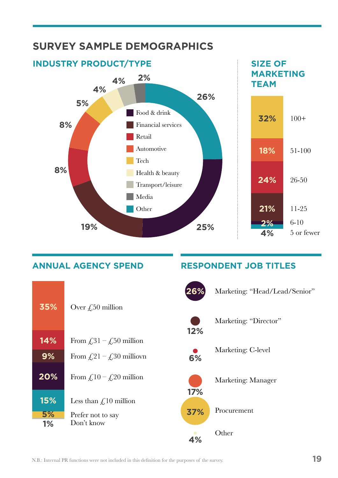

**ANNUAL AGENCY SPEND**



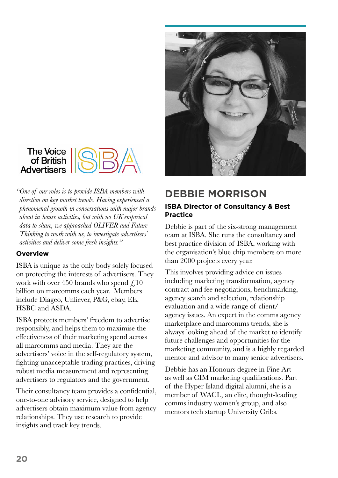



*"One of our roles is to provide ISBA members with direction on key market trends. Having experienced a phenomenal growth in conversations with major brands about in-house activities, but with no UK empirical data to share, we approached OLIVER and Future Thinking to work with us, to investigate advertisers' activities and deliver some fresh insights."*

### **Overview**

ISBA is unique as the only body solely focused on protecting the interests of advertisers. They work with over 450 brands who spend  $\angle 10$ billion on marcomms each year. Members include Diageo, Unliever, P&G, ebay, EE, HSBC and ASDA.

ISBA protects members' freedom to advertise responsibly, and helps them to maximise the effectiveness of their marketing spend across all marcomms and media. They are the advertisers' voice in the self-regulatory system, fighting unacceptable trading practices, driving robust media measurement and representing advertisers to regulators and the government.

Their consultancy team provides a confidential, one-to-one advisory service, designed to help advertisers obtain maximum value from agency relationships. They use research to provide insights and track key trends.

### **DEBBIE MORRISON**

### **ISBA Director of Consultancy & Best Practice**

Debbie is part of the six-strong management team at ISBA. She runs the consultancy and best practice division of ISBA, working with the organisation's blue chip members on more than 2000 projects every year.

This involves providing advice on issues including marketing transformation, agency contract and fee negotiations, benchmarking, agency search and selection, relationship evaluation and a wide range of client/ agency issues. An expert in the comms agency marketplace and marcomms trends, she is always looking ahead of the market to identify future challenges and opportunities for the marketing community, and is a highly regarded mentor and advisor to many senior advertisers.

Debbie has an Honours degree in Fine Art as well as CIM marketing qualifications. Part of the Hyper Island digital alumni, she is a member of WACL, an elite, thought-leading comms industry women's group, and also mentors tech startup University Cribs.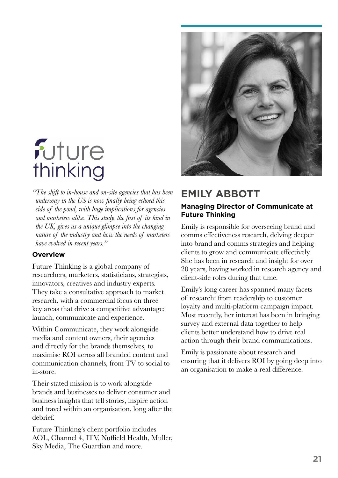

*"The shift to in-house and on-site agencies that has been underway in the US is now finally being echoed this side of the pond, with huge implications for agencies and marketers alike. This study, the first of its kind in the UK, gives us a unique glimpse into the changing nature of the industry and how the needs of marketers have evolved in recent years."*

### **Overview**

Future Thinking is a global company of researchers, marketers, statisticians, strategists, innovators, creatives and industry experts. They take a consultative approach to market research, with a commercial focus on three key areas that drive a competitive advantage: launch, communicate and experience.

Within Communicate, they work alongside media and content owners, their agencies and directly for the brands themselves, to maximise ROI across all branded content and communication channels, from TV to social to in-store.

Their stated mission is to work alongside brands and businesses to deliver consumer and business insights that tell stories, inspire action and travel within an organisation, long after the debrief.

Future Thinking's client portfolio includes AOL, Channel 4, ITV, Nuffield Health, Muller, Sky Media, The Guardian and more.



### **EMILY ABBOTT**

### **Managing Director of Communicate at Future Thinking**

Emily is responsible for overseeing brand and comms effectiveness research, delving deeper into brand and comms strategies and helping clients to grow and communicate effectively. She has been in research and insight for over 20 years, having worked in research agency and client-side roles during that time.

Emily's long career has spanned many facets of research: from readership to customer loyalty and multi-platform campaign impact. Most recently, her interest has been in bringing survey and external data together to help clients better understand how to drive real action through their brand communications.

Emily is passionate about research and ensuring that it delivers ROI by going deep into an organisation to make a real difference.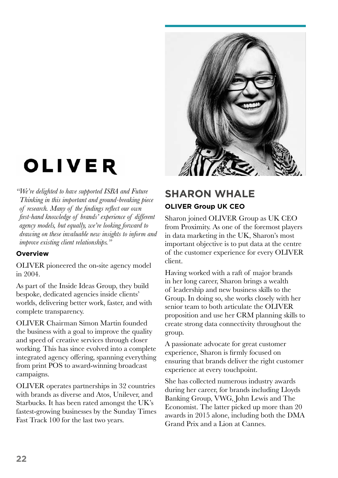

# OLIVER

*"We're delighted to have supported ISBA and Future Thinking in this important and ground-breaking piece of research. Many of the findings reflect our own first-hand knowledge of brands' experience of different agency models, but equally, we're looking forward to drawing on these invaluable new insights to inform and improve existing client relationships."*

### **Overview**

OLIVER pioneered the on-site agency model in 2004.

As part of the Inside Ideas Group, they build bespoke, dedicated agencies inside clients' worlds, delivering better work, faster, and with complete transparency.

OLIVER Chairman Simon Martin founded the business with a goal to improve the quality and speed of creative services through closer working. This has since evolved into a complete integrated agency offering, spanning everything from print POS to award-winning broadcast campaigns.

OLIVER operates partnerships in 32 countries with brands as diverse and Atos, Unilever, and Starbucks. It has been rated amongst the UK's fastest-growing businesses by the Sunday Times Fast Track 100 for the last two years.

### **SHARON WHALE OLIVER Group UK CEO**

Sharon joined OLIVER Group as UK CEO from Proximity. As one of the foremost players in data marketing in the UK, Sharon's most important objective is to put data at the centre of the customer experience for every OLIVER client.

Having worked with a raft of major brands in her long career, Sharon brings a wealth of leadership and new business skills to the Group. In doing so, she works closely with her senior team to both articulate the OLIVER proposition and use her CRM planning skills to create strong data connectivity throughout the group.

A passionate advocate for great customer experience, Sharon is firmly focused on ensuring that brands deliver the right customer experience at every touchpoint.

She has collected numerous industry awards during her career, for brands including Lloyds Banking Group, VWG, John Lewis and The Economist. The latter picked up more than 20 awards in 2015 alone, including both the DMA Grand Prix and a Lion at Cannes.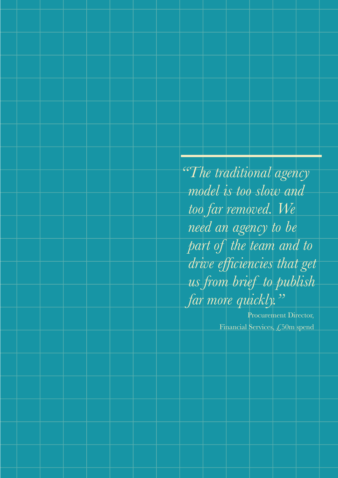*"The traditional agency model is too slow and too far removed. We need an agency to be part of the team and to drive efficiencies that get us from brief to publish far more quickly."*

> Procurement Director, Financial Services, £50m spend